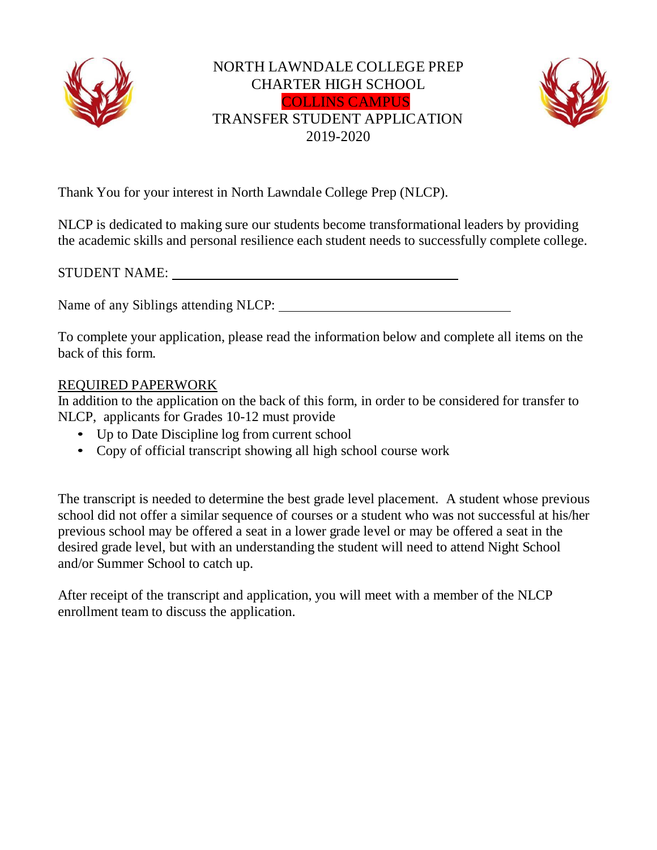

## NORTH LAWNDALE COLLEGE PREP CHARTER HIGH SCHOOL COLLINS CAMPUS TRANSFER STUDENT APPLICATION 2019-2020



Thank You for your interest in North Lawndale College Prep (NLCP).

NLCP is dedicated to making sure our students become transformational leaders by providing the academic skills and personal resilience each student needs to successfully complete college.

| <b>STUDENT NAME:</b> |  |
|----------------------|--|
|                      |  |

Name of any Siblings attending NLCP:

To complete your application, please read the information below and complete all items on the back of this form.

## REQUIRED PAPERWORK

In addition to the application on the back of this form, in order to be considered for transfer to NLCP, applicants for Grades 10-12 must provide

- Up to Date Discipline log from current school
- Copy of official transcript showing all high school course work

The transcript is needed to determine the best grade level placement. A student whose previous school did not offer a similar sequence of courses or a student who was not successful at his/her previous school may be offered a seat in a lower grade level or may be offered a seat in the desired grade level, but with an understanding the student will need to attend Night School and/or Summer School to catch up.

After receipt of the transcript and application, you will meet with a member of the NLCP enrollment team to discuss the application.